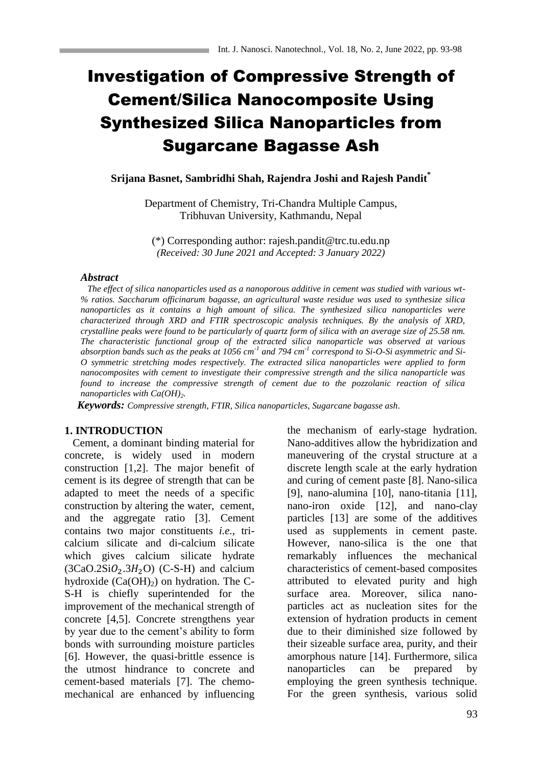# Investigation of Compressive Strength of Cement/Silica Nanocomposite Using Synthesized Silica Nanoparticles from Sugarcane Bagasse Ash

**Srijana Basnet, Sambridhi Shah, Rajendra Joshi and Rajesh Pandit\***

Department of Chemistry, Tri-Chandra Multiple Campus, Tribhuvan University, Kathmandu, Nepal

(\*) Corresponding author: rajesh.pandit@trc.tu.edu.np *(Received: 30 June 2021 and Accepted: 3 January 2022)*

#### *Abstract*

 *The effect of silica nanoparticles used as a nanoporous additive in cement was studied with various wt- % ratios. Saccharum officinarum bagasse, an agricultural waste residue was used to synthesize silica nanoparticles as it contains a high amount of silica. The synthesized silica nanoparticles were characterized through XRD and FTIR spectroscopic analysis techniques. By the analysis of XRD, crystalline peaks were found to be particularly of quartz form of silica with an average size of 25.58 nm. The characteristic functional group of the extracted silica nanoparticle was observed at various absorption bands such as the peaks at 1056 cm-1 and 794 cm-1 correspond to Si-O-Si asymmetric and Si-O symmetric stretching modes respectively. The extracted silica nanoparticles were applied to form nanocomposites with cement to investigate their compressive strength and the silica nanoparticle was found to increase the compressive strength of cement due to the pozzolanic reaction of silica nanoparticles with Ca(OH)2.* 

*Keywords: Compressive strength, FTIR, Silica nanoparticles, Sugarcane bagasse ash.*

#### **1. INTRODUCTION**

 Cement, a dominant binding material for concrete, is widely used in modern construction [1,2]. The major benefit of cement is its degree of strength that can be adapted to meet the needs of a specific construction by altering the water, cement, and the aggregate ratio [3]. Cement contains two major constituents *i.e.*, tricalcium silicate and di-calcium silicate which gives calcium silicate hydrate  $(3CaO.2SiO<sub>2</sub>.3H<sub>2</sub>O)$  (C-S-H) and calcium hydroxide  $(Ca(OH)_2)$  on hydration. The C-S-H is chiefly superintended for the improvement of the mechanical strength of concrete [4,5]. Concrete strengthens year by year due to the cement's ability to form bonds with surrounding moisture particles [6]. However, the quasi-brittle essence is the utmost hindrance to concrete and cement-based materials [7]. The chemomechanical are enhanced by influencing the mechanism of early-stage hydration. Nano-additives allow the hybridization and maneuvering of the crystal structure at a discrete length scale at the early hydration and curing of cement paste [8]. Nano-silica [9], nano-alumina [10], nano-titania [11], nano-iron oxide [12], and nano-clay particles [13] are some of the additives used as supplements in cement paste. However, nano-silica is the one that remarkably influences the mechanical characteristics of cement-based composites attributed to elevated purity and high surface area. Moreover, silica nanoparticles act as nucleation sites for the extension of hydration products in cement due to their diminished size followed by their sizeable surface area, purity, and their amorphous nature [14]. Furthermore, silica nanoparticles can be prepared by employing the green synthesis technique. For the green synthesis, various solid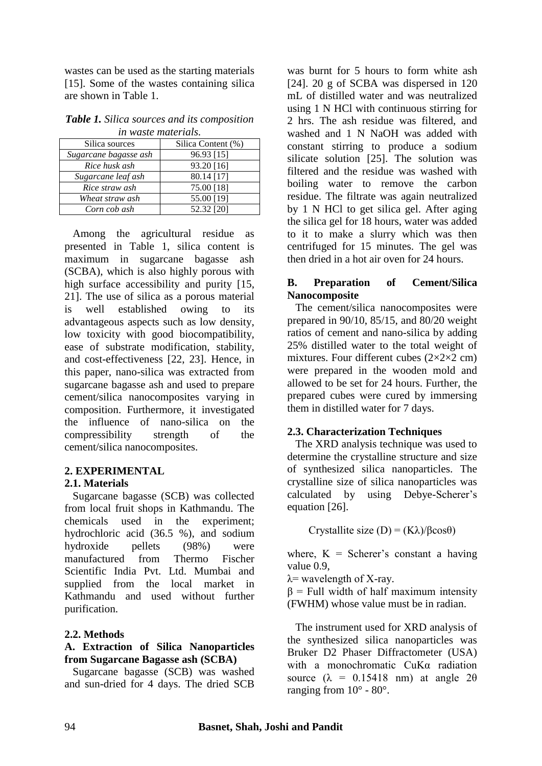wastes can be used as the starting materials [15]. Some of the wastes containing silica are shown in Table 1.

|                     | Table 1. Silica sources and its composition |  |
|---------------------|---------------------------------------------|--|
| in waste materials. |                                             |  |

| Silica sources        | Silica Content (%) |  |
|-----------------------|--------------------|--|
| Sugarcane bagasse ash | 96.93 [15]         |  |
| Rice husk ash         | 93.20 [16]         |  |
| Sugarcane leaf ash    | 80.14 [17]         |  |
| Rice straw ash        | 75.00 [18]         |  |
| Wheat straw ash       | 55.00 [19]         |  |
| Corn cob ash          | 52.32 [20]         |  |

 Among the agricultural residue as presented in Table 1, silica content is maximum in sugarcane bagasse ash (SCBA), which is also highly porous with high surface accessibility and purity [15, 21]. The use of silica as a porous material is well established owing to its advantageous aspects such as low density, low toxicity with good biocompatibility, ease of substrate modification, stability, and cost-effectiveness [22, 23]. Hence, in this paper, nano-silica was extracted from sugarcane bagasse ash and used to prepare cement/silica nanocomposites varying in composition. Furthermore, it investigated the influence of nano-silica on the compressibility strength of the cement/silica nanocomposites.

# **2. EXPERIMENTAL**

# **2.1. Materials**

 Sugarcane bagasse (SCB) was collected from local fruit shops in Kathmandu. The chemicals used in the experiment; hydrochloric acid (36.5 %), and sodium hydroxide pellets (98%) were manufactured from Thermo Fischer Scientific India Pvt. Ltd. Mumbai and supplied from the local market in Kathmandu and used without further purification.

# **2.2. Methods**

## **A. Extraction of Silica Nanoparticles from Sugarcane Bagasse ash (SCBA)**

 Sugarcane bagasse (SCB) was washed and sun-dried for 4 days. The dried SCB

was burnt for 5 hours to form white ash [24]. 20 g of SCBA was dispersed in 120 mL of distilled water and was neutralized using 1 N HCl with continuous stirring for 2 hrs. The ash residue was filtered, and washed and 1 N NaOH was added with constant stirring to produce a sodium silicate solution [25]. The solution was filtered and the residue was washed with boiling water to remove the carbon residue. The filtrate was again neutralized by 1 N HCl to get silica gel. After aging the silica gel for 18 hours, water was added to it to make a slurry which was then centrifuged for 15 minutes. The gel was then dried in a hot air oven for 24 hours.

## **B. Preparation of Cement/Silica Nanocomposite**

 The cement/silica nanocomposites were prepared in 90/10, 85/15, and 80/20 weight ratios of cement and nano-silica by adding 25% distilled water to the total weight of mixtures. Four different cubes  $(2\times2\times2$  cm) were prepared in the wooden mold and allowed to be set for 24 hours. Further, the prepared cubes were cured by immersing them in distilled water for 7 days.

## **2.3. Characterization Techniques**

 The XRD analysis technique was used to determine the crystalline structure and size of synthesized silica nanoparticles. The crystalline size of silica nanoparticles was calculated by using Debye-Scherer's equation [26].

Crystallite size (D) = (Kλ)/βcosθ)

where,  $K =$  Scherer's constant a having value 0.9,

 $\lambda$ = wavelength of X-ray.

 $β = Full width of half maximum intensity$ (FWHM) whose value must be in radian.

 The instrument used for XRD analysis of the synthesized silica nanoparticles was Bruker D2 Phaser Diffractometer (USA) with a monochromatic CuKα radiation source  $(\lambda = 0.15418$  nm) at angle  $2\theta$ ranging from  $10^{\circ}$  -  $80^{\circ}$ .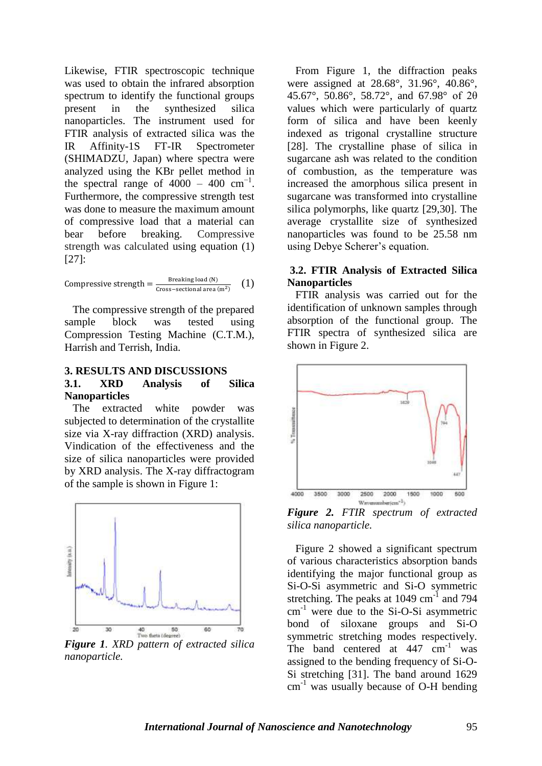Likewise, FTIR spectroscopic technique was used to obtain the infrared absorption spectrum to identify the functional groups present in the synthesized silica nanoparticles. The instrument used for FTIR analysis of extracted silica was the IR Affinity-1S FT-IR Spectrometer (SHIMADZU, Japan) where spectra were analyzed using the KBr pellet method in the spectral range of  $4000 - 400$  cm<sup>-1</sup>. Furthermore, the compressive strength test was done to measure the maximum amount of compressive load that a material can bear before breaking. Compressive strength was calculated using equation (1) [27]:

Compressive strength  $=\frac{B}{C_{\text{RSCS}}}$ C (1)

 The compressive strength of the prepared sample block was tested using Compression Testing Machine (C.T.M.), Harrish and Terrish, India.

#### **3. RESULTS AND DISCUSSIONS**

#### **3.1. XRD Analysis of Silica Nanoparticles**

 The extracted white powder was subjected to determination of the crystallite size via X-ray diffraction (XRD) analysis. Vindication of the effectiveness and the size of silica nanoparticles were provided by XRD analysis. The X-ray diffractogram of the sample is shown in Figure 1:



*Figure 1. XRD pattern of extracted silica nanoparticle.*

 From Figure 1, the diffraction peaks were assigned at 28.68°, 31.96°, 40.86°, 45.67°, 50.86°, 58.72°, and 67.98° of 2θ values which were particularly of quartz form of silica and have been keenly indexed as trigonal crystalline structure [28]. The crystalline phase of silica in sugarcane ash was related to the condition of combustion, as the temperature was increased the amorphous silica present in sugarcane was transformed into crystalline silica polymorphs, like quartz [29,30]. The average crystallite size of synthesized nanoparticles was found to be 25.58 nm using Debye Scherer's equation.

### **3.2. FTIR Analysis of Extracted Silica Nanoparticles**

 FTIR analysis was carried out for the identification of unknown samples through absorption of the functional group. The FTIR spectra of synthesized silica are shown in Figure 2.



*Figure 2. FTIR spectrum of extracted silica nanoparticle.*

 Figure 2 showed a significant spectrum of various characteristics absorption bands identifying the major functional group as Si-O-Si asymmetric and Si-O symmetric stretching. The peaks at  $1049 \text{ cm}^{-1}$  and 794  $cm<sup>-1</sup>$  were due to the Si-O-Si asymmetric bond of siloxane groups and Si-O symmetric stretching modes respectively. The band centered at  $447 \text{ cm}^{-1}$  was assigned to the bending frequency of Si-O-Si stretching [31]. The band around 1629  $cm<sup>-1</sup>$  was usually because of O-H bending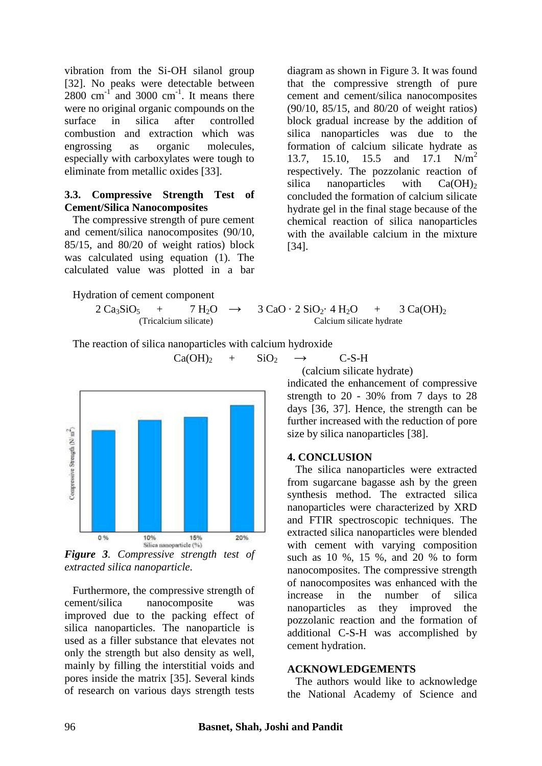vibration from the Si-OH silanol group [32]. No peaks were detectable between  $2800 \text{ cm}^{-1}$  and  $3000 \text{ cm}^{-1}$ . It means there were no original organic compounds on the surface in silica after controlled combustion and extraction which was engrossing as organic molecules, especially with carboxylates were tough to eliminate from metallic oxides [33].

#### **3.3. Compressive Strength Test of Cement/Silica Nanocomposites**

 The compressive strength of pure cement and cement/silica nanocomposites (90/10, 85/15, and 80/20 of weight ratios) block was calculated using equation (1). The calculated value was plotted in a bar

Hydration of cement component

$$
+ 7 H2O
$$
  
(Tricalcium silicate)

diagram as shown in Figure 3. It was found that the compressive strength of pure cement and cement/silica nanocomposites (90/10, 85/15, and 80/20 of weight ratios) block gradual increase by the addition of silica nanoparticles was due to the formation of calcium silicate hydrate as 13.7, 15.10, 15.5 and 17.1  $N/m<sup>2</sup>$ respectively. The pozzolanic reaction of silica nanoparticles with  $Ca(OH)_2$ concluded the formation of calcium silicate hydrate gel in the final stage because of the chemical reaction of silica nanoparticles with the available calcium in the mixture [34].

$$
2 Ca_3SiO_5 + 7 H_2O \rightarrow 3 CaO \cdot 2 SiO_2 \cdot 4 H_2O + 3 Ca(OH)_2
$$
  
(Tricalcium silicate)  
Calcium silicate hydrate

The reaction of silica nanoparticles with calcium hydroxide



*extracted silica nanoparticle.*

 Furthermore, the compressive strength of cement/silica nanocomposite was improved due to the packing effect of silica nanoparticles. The nanoparticle is used as a filler substance that elevates not only the strength but also density as well, mainly by filling the interstitial voids and pores inside the matrix [35]. Several kinds of research on various days strength tests

 $Ca(OH)_2$  +  $SiO_2$  → C-S-H

(calcium silicate hydrate)

indicated the enhancement of compressive strength to 20 - 30% from 7 days to 28 days [36, 37]. Hence, the strength can be further increased with the reduction of pore size by silica nanoparticles [38].

#### **4. CONCLUSION**

 The silica nanoparticles were extracted from sugarcane bagasse ash by the green synthesis method. The extracted silica nanoparticles were characterized by XRD and FTIR spectroscopic techniques. The extracted silica nanoparticles were blended with cement with varying composition such as 10 %, 15 %, and 20 % to form nanocomposites. The compressive strength of nanocomposites was enhanced with the increase in the number of silica nanoparticles as they improved the pozzolanic reaction and the formation of additional C-S-H was accomplished by cement hydration.

#### **ACKNOWLEDGEMENTS**

 The authors would like to acknowledge the National Academy of Science and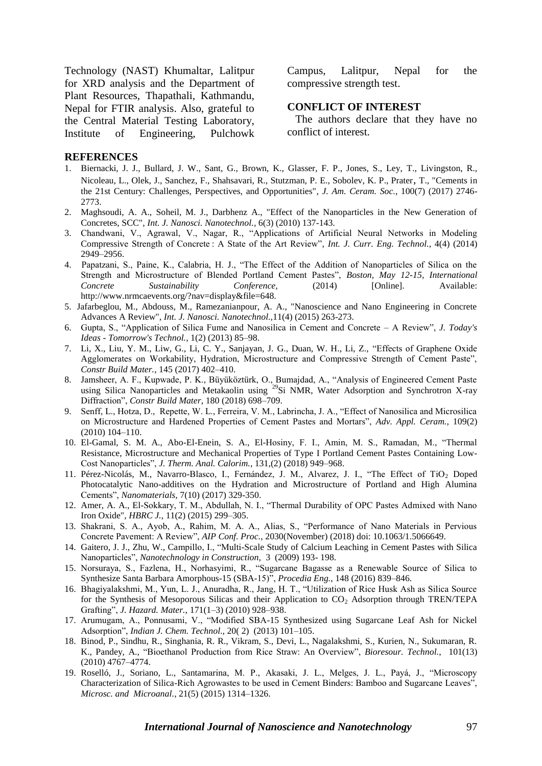Technology (NAST) Khumaltar, Lalitpur for XRD analysis and the Department of Plant Resources, Thapathali, Kathmandu, Nepal for FTIR analysis. Also, grateful to the Central Material Testing Laboratory, Institute of Engineering, Pulchowk

Campus, Lalitpur, Nepal for the compressive strength test.

#### **CONFLICT OF INTEREST**

 The authors declare that they have no conflict of interest.

#### **REFERENCES**

- 1. Biernacki, J. J., Bullard, J. W., Sant, G., Brown, K., Glasser, F. P., Jones, S., Ley, T., Livingston, R., Nicoleau, L., Olek, J., Sanchez, F., Shahsavari, R., Stutzman, P. E., Sobolev, K. P., Prater, T., "Cements in the 21st Century: Challenges, Perspectives, and Opportunities", *J. Am. Ceram. Soc.*, 100(7) (2017) 2746- 2773.
- 2. Maghsoudi, A. A., Soheil, M. J., Darbhenz A., "Effect of the Nanoparticles in the New Generation of Concretes, SCC", *Int. J. Nanosci. Nanotechnol.,* 6(3) (2010) 137-143.
- 3. Chandwani, V., Agrawal, V., Nagar, R., "Applications of Artificial Neural Networks in Modeling Compressive Strength of Concrete : A State of the Art Review", *Int. J. Curr. Eng. Technol.*, 4(4) (2014) 2949–2956.
- 4. Papatzani, S., Paine, K., Calabria, H. J., "The Effect of the Addition of Nanoparticles of Silica on the Strength and Microstructure of Blended Portland Cement Pastes", *Boston, May 12-15, International Concrete Sustainability Conference,* (2014) [Online]. Available: http://www.nrmcaevents.org/?nav=display&file=648.
- 5. Jafarbeglou, M., Abdouss, M., Ramezanianpour, A. A., "Nanoscience and Nano Engineering in Concrete Advances A Review", *Int. J. Nanosci. Nanotechnol.,*11(4) (2015) 263-273.
- 6. Gupta, S., "Application of Silica Fume and Nanosilica in Cement and Concrete A Review", *J. Today's Ideas - Tomorrow's Technol.*, 1(2) (2013) 85–98.
- 7. Li, X., Liu, Y. M., Liw, G., Li, C. Y., Sanjayan, J. G., Duan, W. H., Li, Z., "Effects of Graphene Oxide Agglomerates on Workability, Hydration, Microstructure and Compressive Strength of Cement Paste", *Constr Build Mater.*, 145 (2017) 402–410.
- 8. Jamsheer, A. F., Kupwade, P. K., Büyüköztürk, O., Bumajdad, A., "Analysis of Engineered Cement Paste using Silica Nanoparticles and Metakaolin using <sup>29</sup>Si NMR, Water Adsorption and Synchrotron X-ray Diffraction", *Constr Build Mater*, 180 (2018) 698–709.
- 9. Senff, L., Hotza, D., Repette, W. L., Ferreira, V. M., Labrincha, J. A., "Effect of Nanosilica and Microsilica on Microstructure and Hardened Properties of Cement Pastes and Mortars", *Adv. Appl. Ceram.,* 109(2) (2010) 104–110.
- 10. El-Gamal, S. M. A., Abo-El-Enein, S. A., El-Hosiny, F. I., Amin, M. S., Ramadan, M., "Thermal Resistance, Microstructure and Mechanical Properties of Type I Portland Cement Pastes Containing Low-Cost Nanoparticles", *J. Therm. Anal. Calorim.*, 131,(2) (2018) 949–968.
- 11. Pérez-Nicolás, M., Navarro-Blasco, I., Fernández, J. M., Alvarez, J. I., "The Effect of TiO<sub>2</sub> Doped Photocatalytic Nano-additives on the Hydration and Microstructure of Portland and High Alumina Cements", *Nanomaterials*, 7(10) (2017) 329-350.
- 12. Amer, A. A., El-Sokkary, T. M., Abdullah, N. I., "Thermal Durability of OPC Pastes Admixed with Nano Iron Oxide", *HBRC J.,* 11(2) (2015) 299–305.
- 13. Shakrani, S. A., Ayob, A., Rahim, M. A. A., Alias, S., "Performance of Nano Materials in Pervious Concrete Pavement: A Review", *AIP Conf. Proc.*, 2030(November) (2018) doi: 10.1063/1.5066649.
- 14. Gaitero, J. J., Zhu, W., Campillo, I., "Multi-Scale Study of Calcium Leaching in Cement Pastes with Silica Nanoparticles", *Nanotechnology in Construction,* 3 (2009) 193- 198.
- 15. Norsuraya, S., Fazlena, H., Norhasyimi, R., "Sugarcane Bagasse as a Renewable Source of Silica to Synthesize Santa Barbara Amorphous-15 (SBA-15)", *Procedia Eng.*, 148 (2016) 839–846.
- 16. Bhagiyalakshmi, M., Yun, L. J., Anuradha, R., Jang, H. T., "Utilization of Rice Husk Ash as Silica Source for the Synthesis of Mesoporous Silicas and their Application to  $CO<sub>2</sub>$  Adsorption through TREN/TEPA Grafting", *J. Hazard. Mater.*, 171(1–3) (2010) 928–938.
- 17. Arumugam, A., Ponnusami, V., "Modified SBA-15 Synthesized using Sugarcane Leaf Ash for Nickel Adsorption", *Indian J. Chem. Technol.*, 20( 2) (2013) 101–105.
- 18. Binod, P., Sindhu, R., Singhania, R. R., Vikram, S., Devi, L., Nagalakshmi, S., Kurien, N., Sukumaran, R. K., Pandey, A., "Bioethanol Production from Rice Straw: An Overview", *Bioresour. Technol.*, 101(13) (2010) 4767–4774.
- 19. Roselló, J., Soriano, L., Santamarina, M. P., Akasaki, J. L., Melges, J. L., Payá, J., "Microscopy Characterization of Silica-Rich Agrowastes to be used in Cement Binders: Bamboo and Sugarcane Leaves", *Microsc. and Microanal.*, 21(5) (2015) 1314–1326.